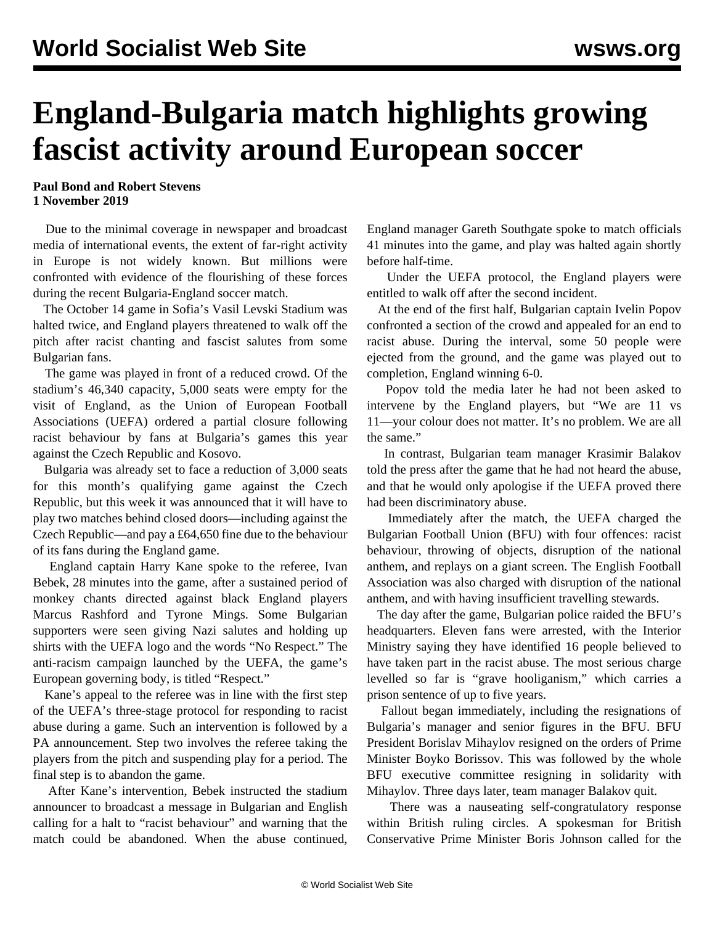## **England-Bulgaria match highlights growing fascist activity around European soccer**

**Paul Bond and Robert Stevens 1 November 2019**

 Due to the minimal coverage in newspaper and broadcast media of international events, the extent of far-right activity in Europe is not widely known. But millions were confronted with evidence of the flourishing of these forces during the recent Bulgaria-England soccer match.

 The October 14 game in Sofia's Vasil Levski Stadium was halted twice, and England players threatened to walk off the pitch after racist chanting and fascist salutes from some Bulgarian fans.

 The game was played in front of a reduced crowd. Of the stadium's 46,340 capacity, 5,000 seats were empty for the visit of England, as the Union of European Football Associations (UEFA) ordered a partial closure following racist behaviour by fans at Bulgaria's games this year against the Czech Republic and Kosovo.

 Bulgaria was already set to face a reduction of 3,000 seats for this month's qualifying game against the Czech Republic, but this week it was announced that it will have to play two matches behind closed doors—including against the Czech Republic—and pay a £64,650 fine due to the behaviour of its fans during the England game.

 England captain Harry Kane spoke to the referee, Ivan Bebek, 28 minutes into the game, after a sustained period of monkey chants directed against black England players Marcus Rashford and Tyrone Mings. Some Bulgarian supporters were seen giving Nazi salutes and holding up shirts with the UEFA logo and the words "No Respect." The anti-racism campaign launched by the UEFA, the game's European governing body, is titled "Respect."

 Kane's appeal to the referee was in line with the first step of the UEFA's three-stage protocol for responding to racist abuse during a game. Such an intervention is followed by a PA announcement. Step two involves the referee taking the players from the pitch and suspending play for a period. The final step is to abandon the game.

 After Kane's intervention, Bebek instructed the stadium announcer to broadcast a message in Bulgarian and English calling for a halt to "racist behaviour" and warning that the match could be abandoned. When the abuse continued, England manager Gareth Southgate spoke to match officials 41 minutes into the game, and play was halted again shortly before half-time.

 Under the UEFA protocol, the England players were entitled to walk off after the second incident.

 At the end of the first half, Bulgarian captain Ivelin Popov confronted a section of the crowd and appealed for an end to racist abuse. During the interval, some 50 people were ejected from the ground, and the game was played out to completion, England winning 6-0.

 Popov told the media later he had not been asked to intervene by the England players, but "We are 11 vs 11—your colour does not matter. It's no problem. We are all the same."

 In contrast, Bulgarian team manager Krasimir Balakov told the press after the game that he had not heard the abuse, and that he would only apologise if the UEFA proved there had been discriminatory abuse.

 Immediately after the match, the UEFA charged the Bulgarian Football Union (BFU) with four offences: racist behaviour, throwing of objects, disruption of the national anthem, and replays on a giant screen. The English Football Association was also charged with disruption of the national anthem, and with having insufficient travelling stewards.

 The day after the game, Bulgarian police raided the BFU's headquarters. Eleven fans were arrested, with the Interior Ministry saying they have identified 16 people believed to have taken part in the racist abuse. The most serious charge levelled so far is "grave hooliganism," which carries a prison sentence of up to five years.

 Fallout began immediately, including the resignations of Bulgaria's manager and senior figures in the BFU. BFU President Borislav Mihaylov resigned on the orders of Prime Minister Boyko Borissov. This was followed by the whole BFU executive committee resigning in solidarity with Mihaylov. Three days later, team manager Balakov quit.

 There was a nauseating self-congratulatory response within British ruling circles. A spokesman for British Conservative Prime Minister Boris Johnson called for the